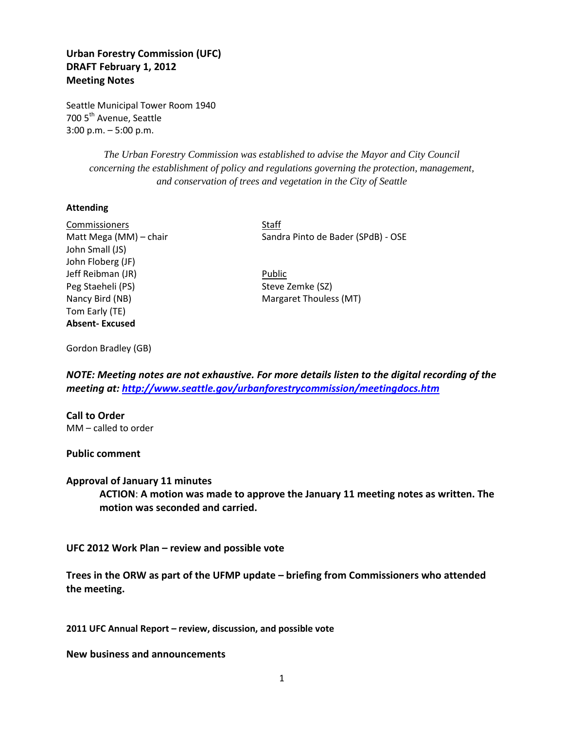## **Urban Forestry Commission (UFC) DRAFT February 1, 2012 Meeting Notes**

Seattle Municipal Tower Room 1940 700 5<sup>th</sup> Avenue, Seattle 3:00 p.m. – 5:00 p.m.

> *The Urban Forestry Commission was established to advise the Mayor and City Council concerning the establishment of policy and regulations governing the protection, management, and conservation of trees and vegetation in the City of Seattle*

## **Attending**

Commissioners Staff John Small (JS) John Floberg (JF) Jeff Reibman (JR) **Public** Peg Staeheli (PS) Steve Zemke (SZ) Nancy Bird (NB) Margaret Thouless (MT) Tom Early (TE) **Absent- Excused**

Matt Mega (MM) – chair Sandra Pinto de Bader (SPdB) - OSE

Gordon Bradley (GB)

*NOTE: Meeting notes are not exhaustive. For more details listen to the digital recording of the meeting at:<http://www.seattle.gov/urbanforestrycommission/meetingdocs.htm>*

**Call to Order** MM – called to order

**Public comment**

**Approval of January 11 minutes**

**ACTION**: **A motion was made to approve the January 11 meeting notes as written. The motion was seconded and carried.** 

**UFC 2012 Work Plan – review and possible vote**

**Trees in the ORW as part of the UFMP update – briefing from Commissioners who attended the meeting.** 

**2011 UFC Annual Report – review, discussion, and possible vote**

**New business and announcements**